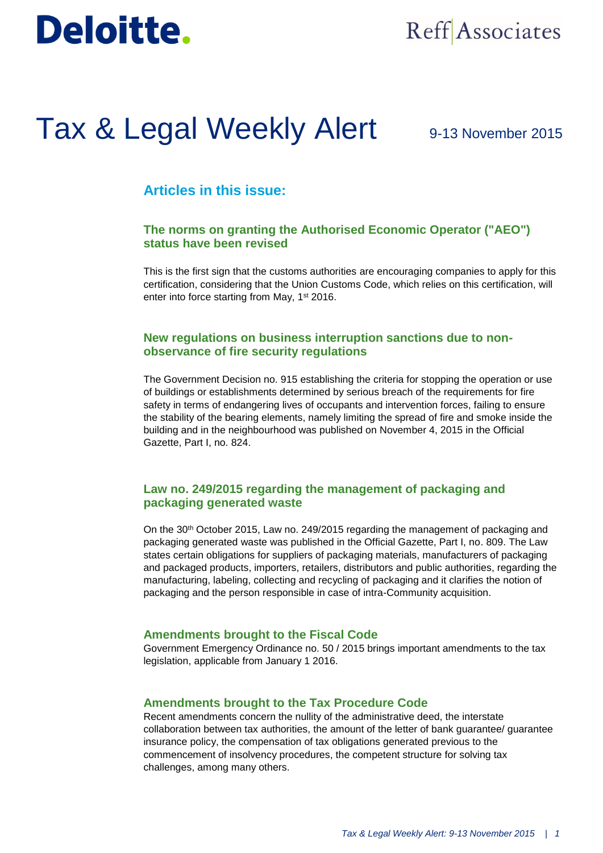# **Deloitte.**

## Reff Associates

## Tax & Legal Weekly Alert

## 9-13 November 2015

## **Articles in this issue:**

### **The norms on granting the Authorised Economic Operator ("AEO") status have been revised**

This is the first sign that the customs authorities are encouraging companies to apply for this certification, considering that the Union Customs Code, which relies on this certification, will enter into force starting from May, 1<sup>st</sup> 2016.

#### **New regulations on business interruption sanctions due to nonobservance of fire security regulations**

The Government Decision no. 915 establishing the criteria for stopping the operation or use of buildings or establishments determined by serious breach of the requirements for fire safety in terms of endangering lives of occupants and intervention forces, failing to ensure the stability of the bearing elements, namely limiting the spread of fire and smoke inside the building and in the neighbourhood was published on November 4, 2015 in the Official Gazette, Part I, no. 824.

### **Law no. 249/2015 regarding the management of packaging and packaging generated waste**

On the 30th October 2015, Law no. 249/2015 regarding the management of packaging and packaging generated waste was published in the Official Gazette, Part I, no. 809. The Law states certain obligations for suppliers of packaging materials, manufacturers of packaging and packaged products, importers, retailers, distributors and public authorities, regarding the manufacturing, labeling, collecting and recycling of packaging and it clarifies the notion of packaging and the person responsible in case of intra-Community acquisition.

#### **Amendments brought to the Fiscal Code**

Government Emergency Ordinance no. 50 / 2015 brings important amendments to the tax legislation, applicable from January 1 2016.

#### **Amendments brought to the Tax Procedure Code**

Recent amendments concern the nullity of the administrative deed, the interstate collaboration between tax authorities, the amount of the letter of bank guarantee/ guarantee insurance policy, the compensation of tax obligations generated previous to the commencement of insolvency procedures, the competent structure for solving tax challenges, among many others.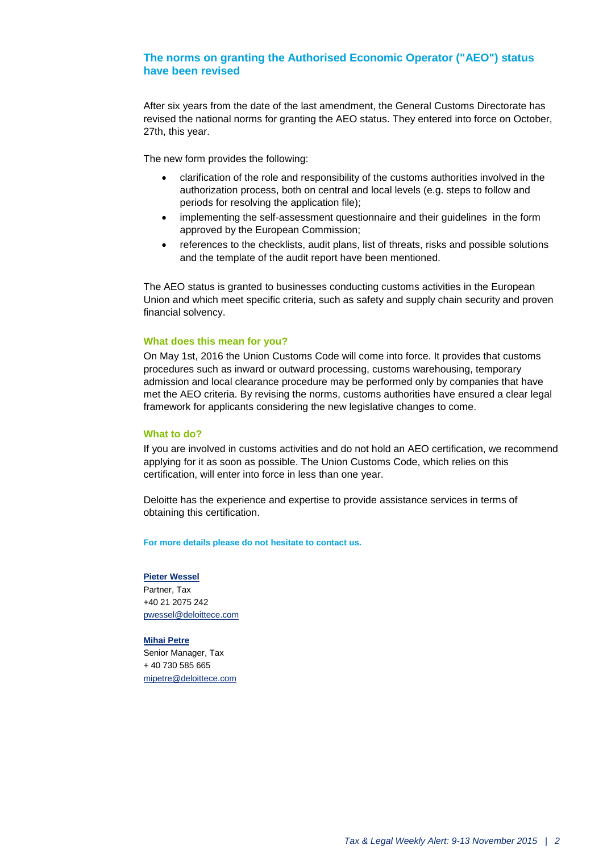#### **The norms on granting the Authorised Economic Operator ("AEO") status have been revised**

After six years from the date of the last amendment, the General Customs Directorate has revised the national norms for granting the AEO status. They entered into force on October, 27th, this year.

The new form provides the following:

- clarification of the role and responsibility of the customs authorities involved in the authorization process, both on central and local levels (e.g. steps to follow and periods for resolving the application file);
- implementing the self-assessment questionnaire and their guidelines in the form approved by the European Commission;
- references to the checklists, audit plans, list of threats, risks and possible solutions and the template of the audit report have been mentioned.

The AEO status is granted to businesses conducting customs activities in the European Union and which meet specific criteria, such as safety and supply chain security and proven financial solvency.

#### **What does this mean for you?**

On May 1st, 2016 the Union Customs Code will come into force. It provides that customs procedures such as inward or outward processing, customs warehousing, temporary admission and local clearance procedure may be performed only by companies that have met the AEO criteria. By revising the norms, customs authorities have ensured a clear legal framework for applicants considering the new legislative changes to come.

#### **What to do?**

If you are involved in customs activities and do not hold an AEO certification, we recommend applying for it as soon as possible. The Union Customs Code, which relies on this certification, will enter into force in less than one year.

Deloitte has the experience and expertise to provide assistance services in terms of obtaining this certification.

**For more details please do not hesitate to contact us.**

#### **[Pieter Wessel](mailto:pwessel@deloittece.com)**

Partner, Tax +40 21 2075 242 [pwessel@deloittece.com](mailto:pwessel@deloittece.com)

#### **[Mihai Petre](mailto:mipetre@deloittece.com)**

Senior Manager, Tax + 40 730 585 665 [mipetre@deloittece.com](mailto:mipetre@deloittece.com)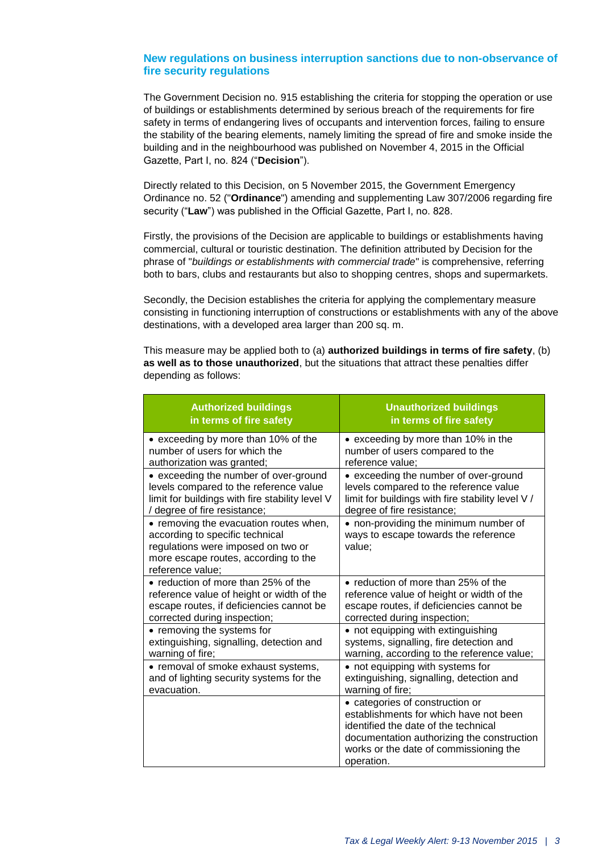#### **New regulations on business interruption sanctions due to non-observance of fire security regulations**

The Government Decision no. 915 establishing the criteria for stopping the operation or use of buildings or establishments determined by serious breach of the requirements for fire safety in terms of endangering lives of occupants and intervention forces, failing to ensure the stability of the bearing elements, namely limiting the spread of fire and smoke inside the building and in the neighbourhood was published on November 4, 2015 in the Official Gazette, Part I, no. 824 ("**Decision**").

Directly related to this Decision, on 5 November 2015, the Government Emergency Ordinance no. 52 ("**Ordinance**") amending and supplementing Law 307/2006 regarding fire security ("**Law**") was published in the Official Gazette, Part I, no. 828.

Firstly, the provisions of the Decision are applicable to buildings or establishments having commercial, cultural or touristic destination. The definition attributed by Decision for the phrase of "*buildings or establishments with commercial trade*" is comprehensive, referring both to bars, clubs and restaurants but also to shopping centres, shops and supermarkets.

Secondly, the Decision establishes the criteria for applying the complementary measure consisting in functioning interruption of constructions or establishments with any of the above destinations, with a developed area larger than 200 sq. m.

This measure may be applied both to (a) **authorized buildings in terms of fire safety**, (b) **as well as to those unauthorized**, but the situations that attract these penalties differ depending as follows:

| <b>Authorized buildings</b>                                                                                                                                                 | <b>Unauthorized buildings</b>                                                                                                                                                                                           |
|-----------------------------------------------------------------------------------------------------------------------------------------------------------------------------|-------------------------------------------------------------------------------------------------------------------------------------------------------------------------------------------------------------------------|
| in terms of fire safety                                                                                                                                                     | in terms of fire safety                                                                                                                                                                                                 |
| • exceeding by more than 10% of the                                                                                                                                         | • exceeding by more than 10% in the                                                                                                                                                                                     |
| number of users for which the                                                                                                                                               | number of users compared to the                                                                                                                                                                                         |
| authorization was granted;                                                                                                                                                  | reference value:                                                                                                                                                                                                        |
| • exceeding the number of over-ground                                                                                                                                       | • exceeding the number of over-ground                                                                                                                                                                                   |
| levels compared to the reference value                                                                                                                                      | levels compared to the reference value                                                                                                                                                                                  |
| limit for buildings with fire stability level V                                                                                                                             | limit for buildings with fire stability level V /                                                                                                                                                                       |
| / degree of fire resistance;                                                                                                                                                | degree of fire resistance;                                                                                                                                                                                              |
| • removing the evacuation routes when,<br>according to specific technical<br>regulations were imposed on two or<br>more escape routes, according to the<br>reference value; | • non-providing the minimum number of<br>ways to escape towards the reference<br>value;                                                                                                                                 |
| • reduction of more than 25% of the                                                                                                                                         | • reduction of more than 25% of the                                                                                                                                                                                     |
| reference value of height or width of the                                                                                                                                   | reference value of height or width of the                                                                                                                                                                               |
| escape routes, if deficiencies cannot be                                                                                                                                    | escape routes, if deficiencies cannot be                                                                                                                                                                                |
| corrected during inspection;                                                                                                                                                | corrected during inspection;                                                                                                                                                                                            |
| • removing the systems for                                                                                                                                                  | • not equipping with extinguishing                                                                                                                                                                                      |
| extinguishing, signalling, detection and                                                                                                                                    | systems, signalling, fire detection and                                                                                                                                                                                 |
| warning of fire;                                                                                                                                                            | warning, according to the reference value;                                                                                                                                                                              |
| • removal of smoke exhaust systems,                                                                                                                                         | • not equipping with systems for                                                                                                                                                                                        |
| and of lighting security systems for the                                                                                                                                    | extinguishing, signalling, detection and                                                                                                                                                                                |
| evacuation.                                                                                                                                                                 | warning of fire;                                                                                                                                                                                                        |
|                                                                                                                                                                             | • categories of construction or<br>establishments for which have not been<br>identified the date of the technical<br>documentation authorizing the construction<br>works or the date of commissioning the<br>operation. |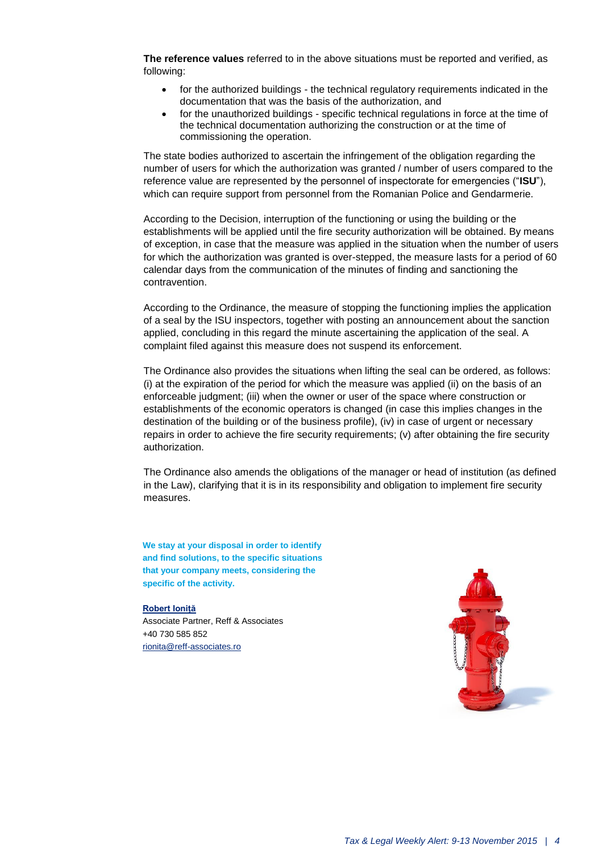**The reference values** referred to in the above situations must be reported and verified, as following:

- for the authorized buildings the technical regulatory requirements indicated in the documentation that was the basis of the authorization, and
- for the unauthorized buildings specific technical regulations in force at the time of the technical documentation authorizing the construction or at the time of commissioning the operation.

The state bodies authorized to ascertain the infringement of the obligation regarding the number of users for which the authorization was granted / number of users compared to the reference value are represented by the personnel of inspectorate for emergencies ("**ISU**"), which can require support from personnel from the Romanian Police and Gendarmerie.

According to the Decision, interruption of the functioning or using the building or the establishments will be applied until the fire security authorization will be obtained. By means of exception, in case that the measure was applied in the situation when the number of users for which the authorization was granted is over-stepped, the measure lasts for a period of 60 calendar days from the communication of the minutes of finding and sanctioning the contravention.

According to the Ordinance, the measure of stopping the functioning implies the application of a seal by the ISU inspectors, together with posting an announcement about the sanction applied, concluding in this regard the minute ascertaining the application of the seal. A complaint filed against this measure does not suspend its enforcement.

The Ordinance also provides the situations when lifting the seal can be ordered, as follows: (i) at the expiration of the period for which the measure was applied (ii) on the basis of an enforceable judgment; (iii) when the owner or user of the space where construction or establishments of the economic operators is changed (in case this implies changes in the destination of the building or of the business profile), (iv) in case of urgent or necessary repairs in order to achieve the fire security requirements; (v) after obtaining the fire security authorization.

The Ordinance also amends the obligations of the manager or head of institution (as defined in the Law), clarifying that it is in its responsibility and obligation to implement fire security measures.

**We stay at your disposal in order to identify and find solutions, to the specific situations that your company meets, considering the specific of the activity.**

**[Robert Ioniță](mailto:rionita@reff-associates.ro)**

Associate Partner, Reff & Associates +40 730 585 852 [rionita@reff-associates.ro](mailto:rionita@reff-associates.ro)

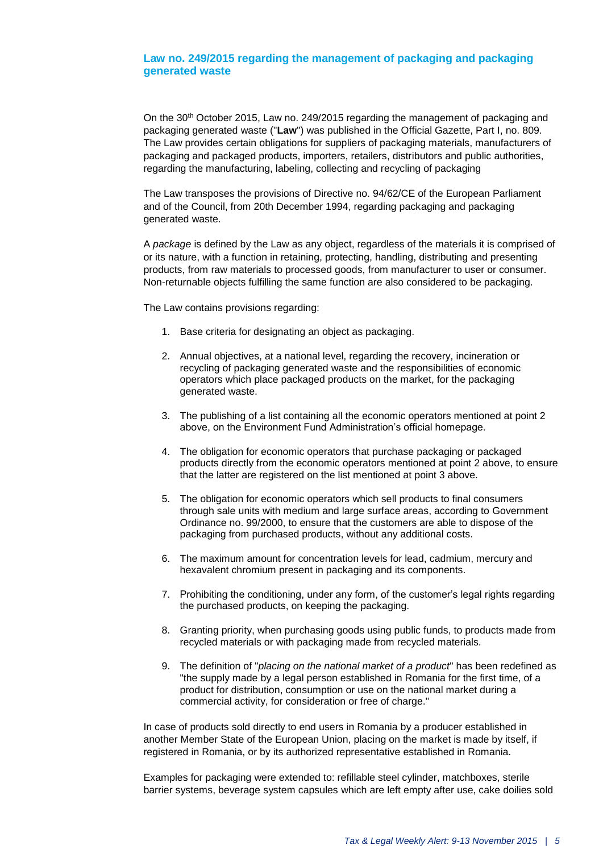#### **Law no. 249/2015 regarding the management of packaging and packaging generated waste**

On the 30th October 2015, Law no. 249/2015 regarding the management of packaging and packaging generated waste ("**Law**") was published in the Official Gazette, Part I, no. 809. The Law provides certain obligations for suppliers of packaging materials, manufacturers of packaging and packaged products, importers, retailers, distributors and public authorities, regarding the manufacturing, labeling, collecting and recycling of packaging

The Law transposes the provisions of Directive no. 94/62/CE of the European Parliament and of the Council, from 20th December 1994, regarding packaging and packaging generated waste.

A *package* is defined by the Law as any object, regardless of the materials it is comprised of or its nature, with a function in retaining, protecting, handling, distributing and presenting products, from raw materials to processed goods, from manufacturer to user or consumer. Non-returnable objects fulfilling the same function are also considered to be packaging.

The Law contains provisions regarding:

- 1. Base criteria for designating an object as packaging.
- 2. Annual objectives, at a national level, regarding the recovery, incineration or recycling of packaging generated waste and the responsibilities of economic operators which place packaged products on the market, for the packaging generated waste.
- 3. The publishing of a list containing all the economic operators mentioned at point 2 above, on the Environment Fund Administration's official homepage.
- 4. The obligation for economic operators that purchase packaging or packaged products directly from the economic operators mentioned at point 2 above, to ensure that the latter are registered on the list mentioned at point 3 above.
- 5. The obligation for economic operators which sell products to final consumers through sale units with medium and large surface areas, according to Government Ordinance no. 99/2000, to ensure that the customers are able to dispose of the packaging from purchased products, without any additional costs.
- 6. The maximum amount for concentration levels for lead, cadmium, mercury and hexavalent chromium present in packaging and its components.
- 7. Prohibiting the conditioning, under any form, of the customer's legal rights regarding the purchased products, on keeping the packaging.
- 8. Granting priority, when purchasing goods using public funds, to products made from recycled materials or with packaging made from recycled materials.
- 9. The definition of "*placing on the national market of a product*" has been redefined as "the supply made by a legal person established in Romania for the first time, of a product for distribution, consumption or use on the national market during a commercial activity, for consideration or free of charge."

In case of products sold directly to end users in Romania by a producer established in another Member State of the European Union, placing on the market is made by itself, if registered in Romania, or by its authorized representative established in Romania.

Examples for packaging were extended to: refillable steel cylinder, matchboxes, sterile barrier systems, beverage system capsules which are left empty after use, cake doilies sold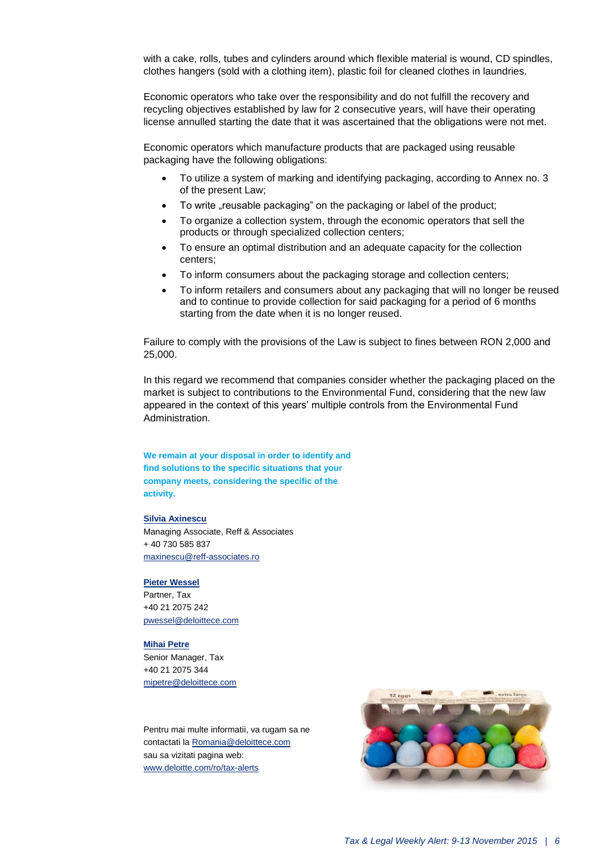with a cake, rolls, tubes and cylinders around which flexible material is wound, CD spindles, clothes hangers (sold with a clothing item), plastic foil for cleaned clothes in laundries.

Economic operators who take over the responsibility and do not fulfill the recovery and recycling objectives established by law for 2 consecutive years, will have their operating license annulled starting the date that it was ascertained that the obligations were not met.

Economic operators which manufacture products that are packaged using reusable packaging have the following obligations:

- To utilize a system of marking and identifying packaging, according to Annex no. 3 of the present Law;
- To write "reusable packaging" on the packaging or label of the product;
- To organize a collection system, through the economic operators that sell the products or through specialized collection centers;
- To ensure an optimal distribution and an adequate capacity for the collection centers;
- To inform consumers about the packaging storage and collection centers;
- To inform retailers and consumers about any packaging that will no longer be reused and to continue to provide collection for said packaging for a period of 6 months starting from the date when it is no longer reused.

Failure to comply with the provisions of the Law is subject to fines between RON 2,000 and 25,000.

In this regard we recommend that companies consider whether the packaging placed on the market is subject to contributions to the Environmental Fund, considering that the new law appeared in the context of this years' multiple controls from the Environmental Fund Administration.

**We remain at your disposal in order to identify and find solutions to the specific situations that your company meets, considering the specific of the activity.**

#### **[Silvia Axinescu](mailto:maxinescu@reff-associates.ro)**

Managing Associate, Reff & Associates + 40 730 585 837 [maxinescu@reff-associates.ro](mailto:maxinescu@reff-associates.ro)

#### **[Pieter Wessel](mailto:pwessel@deloittece.com)**

Partner, Tax +40 21 2075 242 [pwessel@deloittece.com](mailto:pwessel@deloittece.com)

#### **[Mihai Petre](mailto:mipetre@deloittece.com)**

Senior Manager, Tax +40 21 2075 344 [mipetre@deloittece.com](mailto:mipetre@deloittece.com)

Pentru mai multe informatii, va rugam sa ne contactati l[a Romania@deloittece.com](mailto:Romania@deloittece.com) sau sa vizitati pagina web: [www.deloitte.com/ro/tax-alerts](http://www2.deloitte.com/ro/ro/pages/tax/articles/tax-legal-weekly-alerts-2015.html)

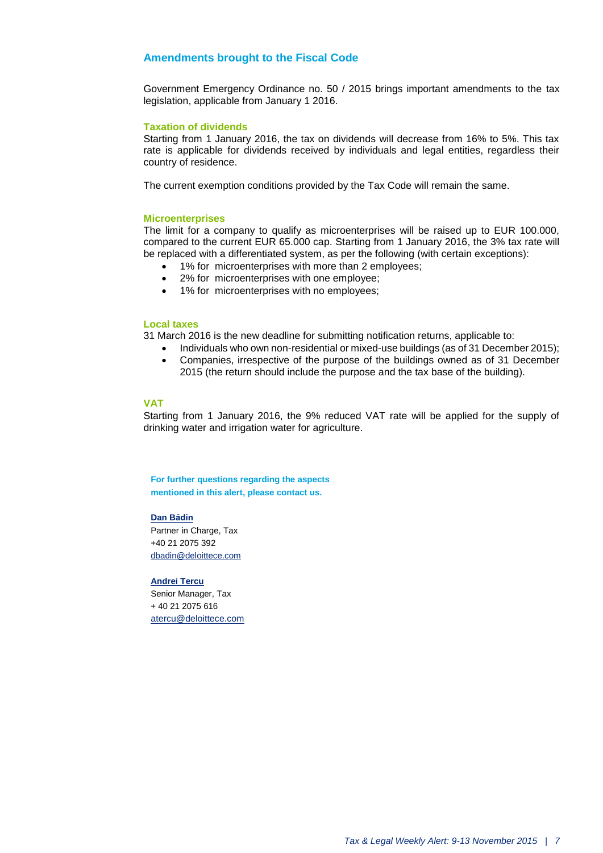#### **Amendments brought to the Fiscal Code**

Government Emergency Ordinance no. 50 / 2015 brings important amendments to the tax legislation, applicable from January 1 2016.

#### **Taxation of dividends**

Starting from 1 January 2016, the tax on dividends will decrease from 16% to 5%. This tax rate is applicable for dividends received by individuals and legal entities, regardless their country of residence.

The current exemption conditions provided by the Tax Code will remain the same.

#### **Microenterprises**

The limit for a company to qualify as microenterprises will be raised up to EUR 100.000, compared to the current EUR 65.000 cap. Starting from 1 January 2016, the 3% tax rate will be replaced with a differentiated system, as per the following (with certain exceptions):

- 1% for microenterprises with more than 2 employees;
- 2% for microenterprises with one employee;
- 1% for microenterprises with no employees;

#### **Local taxes**

31 March 2016 is the new deadline for submitting notification returns, applicable to:

- Individuals who own non-residential or mixed-use buildings (as of 31 December 2015); Companies, irrespective of the purpose of the buildings owned as of 31 December
	- 2015 (the return should include the purpose and the tax base of the building).

#### **VAT**

Starting from 1 January 2016, the 9% reduced VAT rate will be applied for the supply of drinking water and irrigation water for agriculture.

**For further questions regarding the aspects mentioned in this alert, please contact us.**

#### **[Dan Bădin](mailto:dbadin@deloittece.com)**

Partner in Charge, Tax +40 21 2075 392 [dbadin@deloittece.com](mailto:dbadin@deloittece.com)

#### **[Andrei Tercu](mailto:atercu@deloittece.com)**

Senior Manager, Tax + 40 21 2075 616 [atercu@deloittece.com](mailto:atercu@deloittece.com)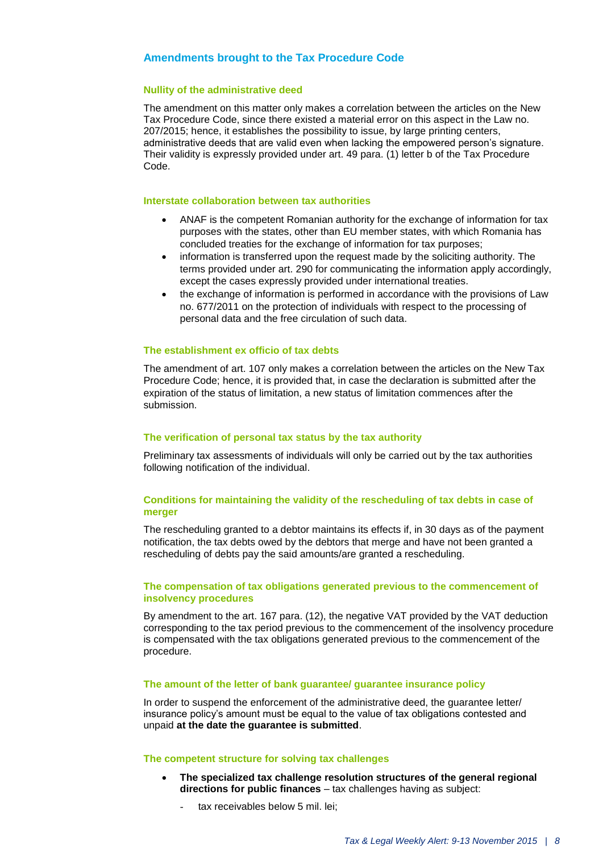#### **Amendments brought to the Tax Procedure Code**

#### **Nullity of the administrative deed**

The amendment on this matter only makes a correlation between the articles on the New Tax Procedure Code, since there existed a material error on this aspect in the Law no. 207/2015; hence, it establishes the possibility to issue, by large printing centers, administrative deeds that are valid even when lacking the empowered person's signature. Their validity is expressly provided under art. 49 para. (1) letter b of the Tax Procedure Code.

#### **Interstate collaboration between tax authorities**

- ANAF is the competent Romanian authority for the exchange of information for tax purposes with the states, other than EU member states, with which Romania has concluded treaties for the exchange of information for tax purposes;
- information is transferred upon the request made by the soliciting authority. The terms provided under art. 290 for communicating the information apply accordingly, except the cases expressly provided under international treaties.
- the exchange of information is performed in accordance with the provisions of Law no. 677/2011 on the protection of individuals with respect to the processing of personal data and the free circulation of such data.

#### **The establishment ex officio of tax debts**

The amendment of art. 107 only makes a correlation between the articles on the New Tax Procedure Code; hence, it is provided that, in case the declaration is submitted after the expiration of the status of limitation, a new status of limitation commences after the submission.

#### **The verification of personal tax status by the tax authority**

Preliminary tax assessments of individuals will only be carried out by the tax authorities following notification of the individual.

#### **Conditions for maintaining the validity of the rescheduling of tax debts in case of merger**

The rescheduling granted to a debtor maintains its effects if, in 30 days as of the payment notification, the tax debts owed by the debtors that merge and have not been granted a rescheduling of debts pay the said amounts/are granted a rescheduling.

#### **The compensation of tax obligations generated previous to the commencement of insolvency procedures**

By amendment to the art. 167 para. (12), the negative VAT provided by the VAT deduction corresponding to the tax period previous to the commencement of the insolvency procedure is compensated with the tax obligations generated previous to the commencement of the procedure.

#### **The amount of the letter of bank guarantee/ guarantee insurance policy**

In order to suspend the enforcement of the administrative deed, the guarantee letter/ insurance policy's amount must be equal to the value of tax obligations contested and unpaid **at the date the guarantee is submitted**.

#### **The competent structure for solving tax challenges**

- **The specialized tax challenge resolution structures of the general regional directions for public finances** – tax challenges having as subject:
	- tax receivables below 5 mil. lei: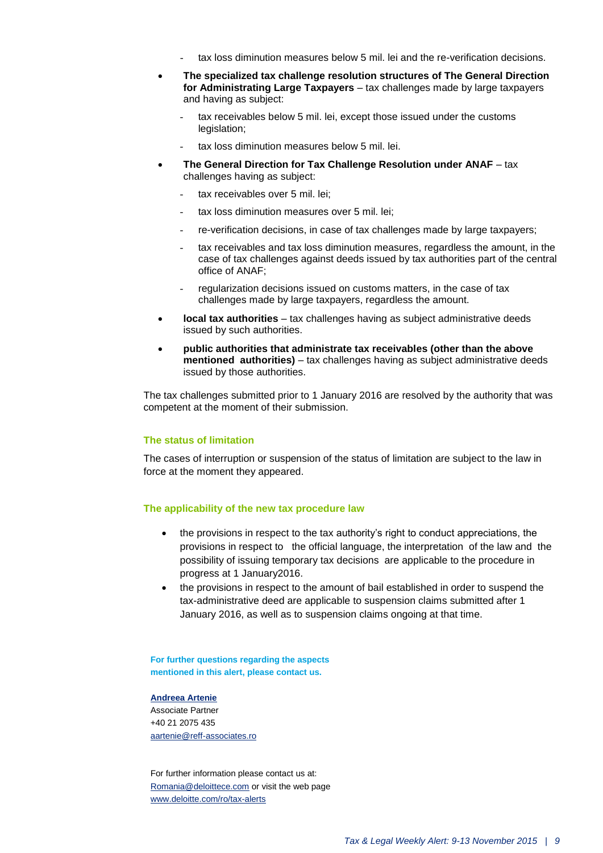- tax loss diminution measures below 5 mil. lei and the re-verification decisions.
- **The specialized tax challenge resolution structures of The General Direction for Administrating Large Taxpayers** – tax challenges made by large taxpayers and having as subject:
	- tax receivables below 5 mil. lei, except those issued under the customs legislation;
	- tax loss diminution measures below 5 mil. lei.
- **The General Direction for Tax Challenge Resolution under ANAF**  tax challenges having as subject:
	- tax receivables over 5 mil. lei;
	- tax loss diminution measures over 5 mil. lei;
	- re-verification decisions, in case of tax challenges made by large taxpayers;
	- tax receivables and tax loss diminution measures, regardless the amount, in the case of tax challenges against deeds issued by tax authorities part of the central office of ANAF;
	- regularization decisions issued on customs matters, in the case of tax challenges made by large taxpayers, regardless the amount.
- **local tax authorities** tax challenges having as subject administrative deeds issued by such authorities.
- **public authorities that administrate tax receivables (other than the above mentioned authorities)** – tax challenges having as subject administrative deeds issued by those authorities.

The tax challenges submitted prior to 1 January 2016 are resolved by the authority that was competent at the moment of their submission.

#### **The status of limitation**

The cases of interruption or suspension of the status of limitation are subject to the law in force at the moment they appeared.

#### **The applicability of the new tax procedure law**

- the provisions in respect to the tax authority's right to conduct appreciations, the provisions in respect to the official language, the interpretation of the law and the possibility of issuing temporary tax decisions are applicable to the procedure in progress at 1 January2016.
- the provisions in respect to the amount of bail established in order to suspend the tax-administrative deed are applicable to suspension claims submitted after 1 January 2016, as well as to suspension claims ongoing at that time.

**For further questions regarding the aspects mentioned in this alert, please contact us.**

#### **[Andreea Artenie](mailto:aartenie@reff-associates.ro)**

Associate Partner +40 21 2075 435 [aartenie@reff-associates.ro](mailto:aartenie@reff-associates.ro) 

For further information please contact us at: [Romania@deloittece.com](mailto:Romania@deloittece.com) or visit the web page [www.deloitte.com/ro/tax-alerts](http://www2.deloitte.com/ro/ro/pages/tax/articles/tax-legal-weekly-alerts-2015.html)